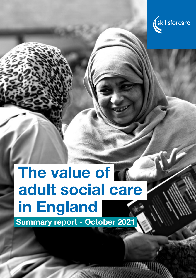

# The value of r adult social care in England

Summary report - October 2021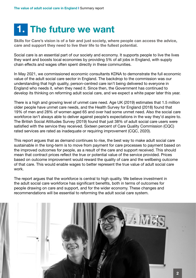### 1. The future we want

Skills for Care's vision is of a fair and just society, where people can access the advice, care and support they need to live their life to the fullest potential.

Social care is an essential part of our society and economy. It supports people to live the lives they want and boosts local economies by providing 5% of all jobs in England, with supply chain effects and wages often spent directly in these communities.

In May 2021, we commissioned economic consultants KDNA to demonstrate the full economic value of the adult social care sector in England. The backdrop to the commission was our understanding that high quality, person-centred care isn't being delivered to everyone in England who needs it, when they need it. Since then, the Government has continued to develop its thinking on reforming adult social care, and we expect a white paper later this year.

There is a high and growing level of unmet care need. Age UK (2019) estimates that 1.5 million older people have unmet care needs, and the Health Survey for England (2018) found that 19% of men and 28% of women aged 65 and over had some unmet need. Also the social care workforce isn't always able to deliver against people's expectations in the way they'd aspire to. The British Social Attitudes Survey (2019) found that just 38% of adult social care users were satisfied with the service they received. Sixteen percent of Care Quality Commission (CQC) rated services are rated as inadequate or requiring improvement (CQC, 2020).

This report argues that as demand continues to rise, the best way to make adult social care sustainable in the long-term is to move from payment for care processes to payment based on the improved outcomes for people, as a result of the care and support received. This should mean that contract prices reflect the true or potential value of the service provided. Prices based on outcome improvement would reward the quality of care and the wellbeing outcome of that care. This would enable wages to better represent the true value of adult social care work.

The report argues that the workforce is central to high quality. We believe investment in the adult social care workforce has significant benefits, both in terms of outcomes for people drawing on care and support, and for the wider economy. These changes and recommendations will be essential to reforming the adult social care system.

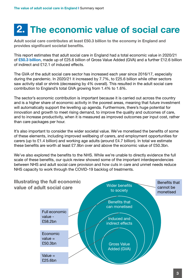## 2. The economic value of social care

Adult social care contributes at least £50.3 billion to the economy in England and provides significant societal benefits.

This report estimates that adult social care in England had a total economic value in 2020/21 of £50.3 billion, made up of £25.6 billion of Gross Value Added (GVA) and a further £12.6 billion of indirect and £12.1 of induced effects.

The GVA of the adult social care sector has increased each year since 2016/17, especially during the pandemic. In 2020/21 it increased by 7.7%, to £25.6 billion while other sectors saw activity stall or shrink (decreasing by 4% overall). This resulted in the adult social care contribution to England's total GVA growing from 1.4% to 1.6%.

The sector's economic contribution is important because it is carried out across the country and is a higher share of economic activity in the poorest areas, meaning that future investment will automatically support the levelling up agenda. Furthermore, there's huge potential for innovation and growth to meet rising demand, to improve the quality and outcomes of care, and to increase productivity, when it is measured as improved outcomes per input cost, rather than care packages per hour.

It's also important to consider the wider societal value. We've monetised the benefits of some of these elements, including improved wellbeing of carers, and employment opportunities for carers (up to £1.4 billion) and working age adults (around £4.7 billion). In total we estimate these benefits are worth at least £7.9bn over and above the economic value of £50.3bn.

We've also explored the benefits to the NHS. While we're unable to directly evidence the full scale of these benefits, our quick review showed some of the important interdependencies between NHS and adult social care provision and how cuts in care and unmet needs reduce NHS capacity to work through the COVID-19 backlog of treatments.

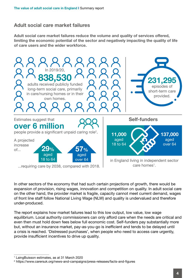#### Adult social care market failures

Adult social care market failures reduce the volume and quality of services offered, limiting the economic potential of the sector and negatively impacting the quality of life of care users and the wider workforce.



In other sectors of the economy that had such certain projections of growth, there would be expansion of provision, rising wages, innovation and competition on quality. In adult social care on the other hand, the provider market is fragile, capacity cannot meet current demand, wages of front line staff follow National Living Wage (NLW) and quality is undervalued and therefore under-produced.

The report explains how market failures lead to this low output, low value, low wage equilibrium. Local authority commissioners can only afford care when the needs are critical and even then must hold down fees below full economic cost. Self-funders pay substantially more but, without an insurance market, pay-as-you-go is inefficient and tends to be delayed until a crisis is reached. 'Distressed purchases', when people who need to access care urgently, provide insufficient incentives to drive up quality.

<sup>1</sup> LaingBuisson estimates, as at 31 March 2020

<sup>2</sup> https://www.carersuk.org/news-and-campaigns/press-releases/facts-and-figures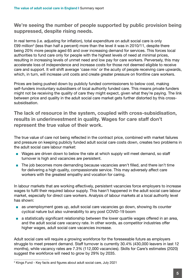We're seeing the number of people supported by public provision being suppressed, despite rising needs.

In real terms (i.e. adjusting for inflation), total expenditure on adult social care is only £99 million<sup>3</sup> (less than half a percent) more than the level it was in 2010/11, despite there being 20% more people aged 65 and over increasing demand for services. This forces local authorities to fund care only for people with the highest levels of need at minimal prices, resulting in increasing levels of unmet need and low pay for care workers. Perversely, this may accelerate loss of independence and increase costs for those not deemed eligible to receive care and support. It will shift average 'case mix' or the acuity of people receiving care upwards, which, in turn, will increase unit costs and create greater pressure on frontline care workers.

Prices are being pushed down by publicly funded commissioners to below cost, making self-funders involuntary subsidisers of local authority funded care. This means private funders might not be receiving the quality of care they might expect, given what they're paying. The link between price and quality in the adult social care market gets further distorted by this crosssubsidisation.

The lack of resource in the system, coupled with cross-subsidisation, results in underinvestment in quality. Wages for care staff don't represent the true value of their work.

The true value of care not being reflected in the contract price, combined with market failures and pressure on keeping publicly funded adult social care costs down, creates two problems in the adult social care labour market:

- Wages are driven down to below the rate at which supply will meet demand, so staff turnover is high and vacancies are persistent.
- The job becomes more demanding because vacancies aren't filled, and there isn't time for delivering a high quality, compassionate service. This may adversely affect care workers with the greatest empathy and vocation for caring.

In labour markets that are working effectively, persistent vacancies force employers to increase wages to fulfil their required labour supply. This hasn't happened in the adult social care labour market, especially for direct care workers. Analysis of labour markets at a local authority level has shown:

- as unemployment goes up, adult social care vacancies go down, showing its counter cyclical nature but also vulnerability to any post COVID-19 boom
- a statistically significant relationship between the lower quartile wages offered in an area, and the adult social care vacancy rate. In other words, as competitor industries offer higher wages, adult social care vacancies increase.

Adult social care will require a growing workforce for the foreseeable future as employers struggle to meet present demand. Staff turnover is currently 30.4% (430,000 leavers in last 12 months), while vacancy rates are 7.3% (112,000 vacancies). Skills for Care's estimates (2020) suggest the workforce will need to grow by 29% by 2035.

<sup>3</sup> Kings Fund - Key facts and figures about adult social care, July 2021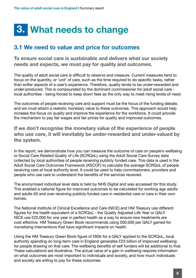### 3. What needs to change

#### 3.1 We need to value and price for outcomes

To ensure social care is sustainable and delivers what our society needs and expects, we must pay for quality and outcomes.

The quality of adult social care is difficult to observe and measure. Current measures tend to focus on the quantity, or 'unit' of care, such as the time required to do specific tasks, rather than softer aspects of a user's experience. Therefore, quality tends to be under-rewarded and under-produced. This is compounded by the dominant commissioner for adult social care local authorities - being forced to keep down fees as the only way to meet rising levels of need.

The outcomes of people receiving care and support must be the focus of the funding debate, and we must attach a realistic monetary value to these outcomes. This approach would help increase the focus on quality and improve the experience for the workforce. It could provide the mechanism to pay fair wages and fair prices for quality and improved outcomes.

If we don't recognise the monetary value of the experience of people who use care, it will inevitably be under-rewarded and under-valued by the system.

In the report, we demonstrate how you can measure the outcome of care on people's wellbeing or Social Care Related Quality of Life (SCRQoL) using the Adult Social Care Survey data collected by local authorities of people receiving publicly funded care. This data is used in the Adult Social Care Outcomes Framework (ASCOF) to calculate the average SCRQoL of people receiving care at local authority level. It could be used to help commissioners, providers and people who use care to understand the benefits of the services received.

The anonymised individual level data is held by NHS Digital and was accessed for this study. This enabled a national figure for improved outcomes to be calculated for working age adults and adults 65 and over receiving publicly funded care in residential care or care in their own homes.

The National Institute of Clinical Excellence and Care (NICE) and HM Treasury use different figures for the health equivalent of a SCRQoL - the Quality Adjusted Life Year or QALY. NICE use £25,000 for one year in perfect health as a way to ensure new treatments are cost effective. HM Treasury Green Book recommends using £60,000 per QALY gained for monetising interventions that have significant impacts on health.

Using the HM Treasury Green Book figure of £60k for a QALY applied to the SCRQoL, local authority spending on long-term care in England generates £23 billion of improved wellbeing for people drawing on that care. The wellbeing benefits of self funders will be additional to that. These calculations are illustrative. The actual value of a gain in wellbeing requires information on what outcomes are most important to individuals and society, and how much individuals and society are willing to pay for these outcomes.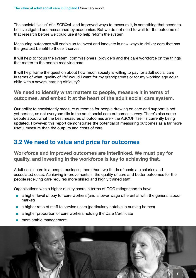The societal 'value' of a SCRQoL and improved ways to measure it, is something that needs to be investigated and researched by academics. But we do not need to wait for the outcome of that research before we could use it to help reform the system.

Measuring outcomes will enable us to invest and innovate in new ways to deliver care that has the greatest benefit to those it serves.

It will help to focus the system, commissioners, providers and the care workforce on the things that matter to the people receiving care.

It will help frame the question about how much society is willing to pay for adult social care in terms of what 'quality of life' would I want for my grandparents or for my working age adult child with a severe learning difficulty?

We need to identify what matters to people, measure it in terms of outcomes, and embed it at the heart of the adult social care system.

Our ability to consistently measure outcomes for people drawing on care and support is not yet perfect, as not everyone fills in the adult social care outcomes survey. There's also some debate about what the best measures of outcomes are - the ASCOF itself is currently being updated. However, this report demonstrates the potential of measuring outcomes as a far more useful measure than the outputs and costs of care.

#### 3.2 We need to value and price for outcomes

Workforce and improved outcomes are interlinked. We must pay for quality, and investing in the workforce is key to achieving that.

Adult social care is a people business; more than two thirds of costs are salaries and associated costs. Achieving improvements in the quality of care and better outcomes for the people receiving care requires more skilled and highly trained staff.

Organisations with a higher quality score in terms of CQC ratings tend to have:

- a higher level of pay for care workers (and a lower wage differential with the general labour market)
- a higher ratio of staff to service users (particularly notable in nursing homes)
- a higher proportion of care workers holding the Care Certificate
- more stable management.

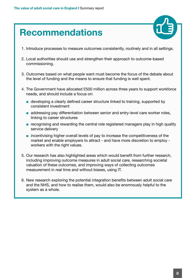### Recommendations



- 1. Introduce processes to measure outcomes consistently, routinely and in all settings.
- 2. Local authorities should use and strengthen their approach to outcome-based commissioning.
- 3. Outcomes based on what people want must become the focus of the debate about the level of funding and the means to ensure that funding is well spent.
- 4. The Government have allocated £500 million across three years to support workforce needs, and should include a focus on:
	- developing a clearly defined career structure linked to training, supported by consistent investment
	- addressing pay differentiation between senior and entry-level care worker roles, linking to career structures
	- recognising and rewarding the central role registered managers play in high quality service delivery
	- incentivising higher overall levels of pay to increase the competitiveness of the market and enable employers to attract - and have more discretion to employ workers with the right values.
- 5. Our research has also highlighted areas which would benefit from further research, including improving outcome measures in adult social care, researching societal valuation of these outcomes, and improving ways of collecting outcomes measurement in real time and without biases, using IT.
- 6. New research exploring the potential integration benefits between adult social care and the NHS, and how to realise them, would also be enormously helpful to the system as a whole.